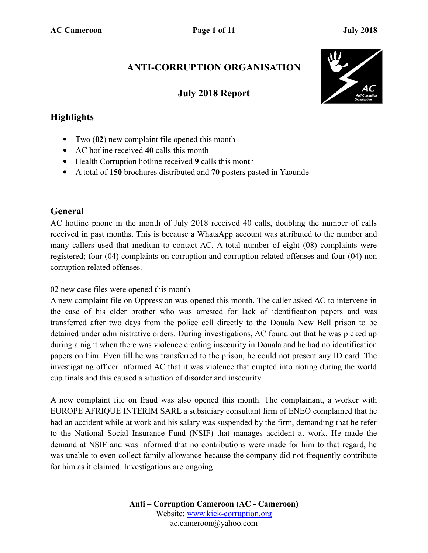### **ANTI-CORRUPTION ORGANISATION**

### **July 2018 Report**



### **Highlights**

- Two (**02**) new complaint file opened this month
- AC hotline received **40** calls this month
- Health Corruption hotline received **9** calls this month
- A total of **150** brochures distributed and **70** posters pasted in Yaounde

### **General**

AC hotline phone in the month of July 2018 received 40 calls, doubling the number of calls received in past months. This is because a WhatsApp account was attributed to the number and many callers used that medium to contact AC. A total number of eight (08) complaints were registered; four (04) complaints on corruption and corruption related offenses and four (04) non corruption related offenses.

#### 02 new case files were opened this month

A new complaint file on Oppression was opened this month. The caller asked AC to intervene in the case of his elder brother who was arrested for lack of identification papers and was transferred after two days from the police cell directly to the Douala New Bell prison to be detained under administrative orders. During investigations, AC found out that he was picked up during a night when there was violence creating insecurity in Douala and he had no identification papers on him. Even till he was transferred to the prison, he could not present any ID card. The investigating officer informed AC that it was violence that erupted into rioting during the world cup finals and this caused a situation of disorder and insecurity.

A new complaint file on fraud was also opened this month. The complainant, a worker with EUROPE AFRIQUE INTERIM SARL a subsidiary consultant firm of ENEO complained that he had an accident while at work and his salary was suspended by the firm, demanding that he refer to the National Social Insurance Fund (NSIF) that manages accident at work. He made the demand at NSIF and was informed that no contributions were made for him to that regard, he was unable to even collect family allowance because the company did not frequently contribute for him as it claimed. Investigations are ongoing.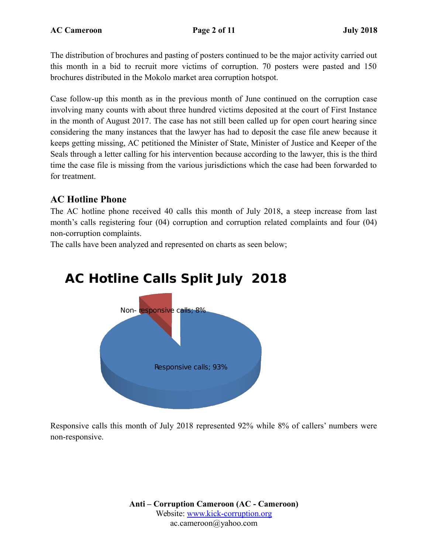The distribution of brochures and pasting of posters continued to be the major activity carried out this month in a bid to recruit more victims of corruption. 70 posters were pasted and 150 brochures distributed in the Mokolo market area corruption hotspot.

Case follow-up this month as in the previous month of June continued on the corruption case involving many counts with about three hundred victims deposited at the court of First Instance in the month of August 2017. The case has not still been called up for open court hearing since considering the many instances that the lawyer has had to deposit the case file anew because it keeps getting missing, AC petitioned the Minister of State, Minister of Justice and Keeper of the Seals through a letter calling for his intervention because according to the lawyer, this is the third time the case file is missing from the various jurisdictions which the case had been forwarded to for treatment.

### **AC Hotline Phone**

The AC hotline phone received 40 calls this month of July 2018, a steep increase from last month's calls registering four (04) corruption and corruption related complaints and four (04) non-corruption complaints.

The calls have been analyzed and represented on charts as seen below;

## **AC Hotline Calls Split July 2018**



Responsive calls this month of July 2018 represented 92% while 8% of callers' numbers were non-responsive.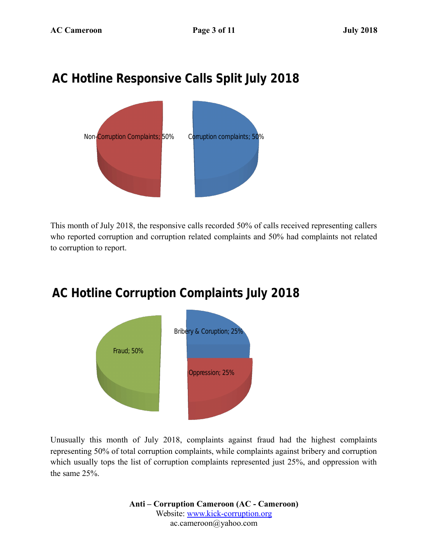## **AC Hotline Responsive Calls Split July 2018**



This month of July 2018, the responsive calls recorded 50% of calls received representing callers who reported corruption and corruption related complaints and 50% had complaints not related to corruption to report.

## **AC Hotline Corruption Complaints July 2018**



Unusually this month of July 2018, complaints against fraud had the highest complaints representing 50% of total corruption complaints, while complaints against bribery and corruption which usually tops the list of corruption complaints represented just 25%, and oppression with the same 25%.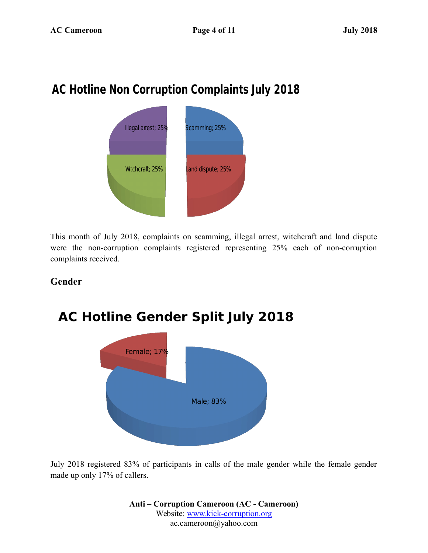## **AC Hotline Non Corruption Complaints July 2018**



This month of July 2018, complaints on scamming, illegal arrest, witchcraft and land dispute were the non-corruption complaints registered representing 25% each of non-corruption complaints received.

### **Gender**



July 2018 registered 83% of participants in calls of the male gender while the female gender made up only 17% of callers.

> **Anti – Corruption Cameroon (AC - Cameroon)** Website: [www.kick-corruption.org](http://www.kick-corruption.org/) ac.cameroon@yahoo.com

## **AC Hotline Gender Split July 2018**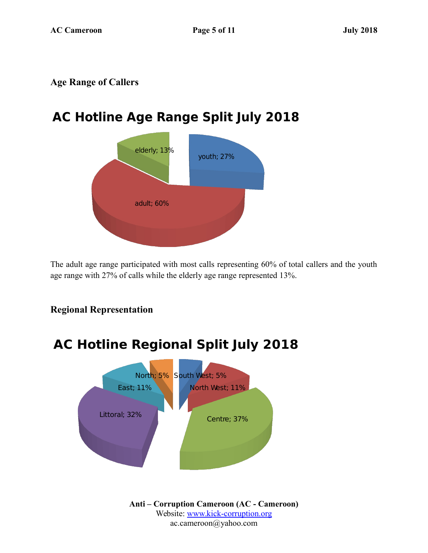### **Age Range of Callers**

## **AC Hotline Age Range Split July 2018**



The adult age range participated with most calls representing 60% of total callers and the youth age range with 27% of calls while the elderly age range represented 13%.

# North; 5% South West; 5% North West; 11% Littoral; 32% **Centre**; 37% East; 11% **AC Hotline Regional Split July 2018**

### **Regional Representation**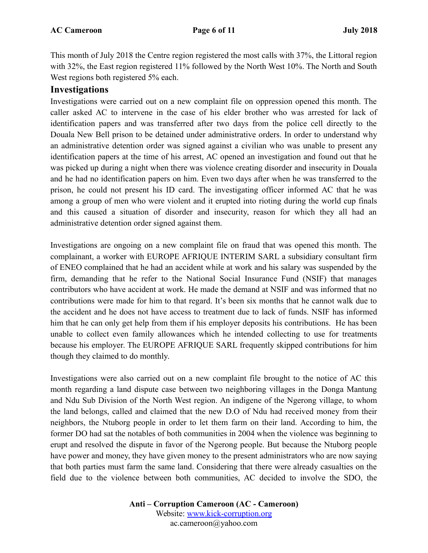This month of July 2018 the Centre region registered the most calls with 37%, the Littoral region with 32%, the East region registered 11% followed by the North West 10%. The North and South West regions both registered 5% each.

### **Investigations**

Investigations were carried out on a new complaint file on oppression opened this month. The caller asked AC to intervene in the case of his elder brother who was arrested for lack of identification papers and was transferred after two days from the police cell directly to the Douala New Bell prison to be detained under administrative orders. In order to understand why an administrative detention order was signed against a civilian who was unable to present any identification papers at the time of his arrest, AC opened an investigation and found out that he was picked up during a night when there was violence creating disorder and insecurity in Douala and he had no identification papers on him. Even two days after when he was transferred to the prison, he could not present his ID card. The investigating officer informed AC that he was among a group of men who were violent and it erupted into rioting during the world cup finals and this caused a situation of disorder and insecurity, reason for which they all had an administrative detention order signed against them.

Investigations are ongoing on a new complaint file on fraud that was opened this month. The complainant, a worker with EUROPE AFRIQUE INTERIM SARL a subsidiary consultant firm of ENEO complained that he had an accident while at work and his salary was suspended by the firm, demanding that he refer to the National Social Insurance Fund (NSIF) that manages contributors who have accident at work. He made the demand at NSIF and was informed that no contributions were made for him to that regard. It's been six months that he cannot walk due to the accident and he does not have access to treatment due to lack of funds. NSIF has informed him that he can only get help from them if his employer deposits his contributions. He has been unable to collect even family allowances which he intended collecting to use for treatments because his employer. The EUROPE AFRIQUE SARL frequently skipped contributions for him though they claimed to do monthly.

Investigations were also carried out on a new complaint file brought to the notice of AC this month regarding a land dispute case between two neighboring villages in the Donga Mantung and Ndu Sub Division of the North West region. An indigene of the Ngerong village, to whom the land belongs, called and claimed that the new D.O of Ndu had received money from their neighbors, the Ntuborg people in order to let them farm on their land. According to him, the former DO had sat the notables of both communities in 2004 when the violence was beginning to erupt and resolved the dispute in favor of the Ngerong people. But because the Ntuborg people have power and money, they have given money to the present administrators who are now saying that both parties must farm the same land. Considering that there were already casualties on the field due to the violence between both communities, AC decided to involve the SDO, the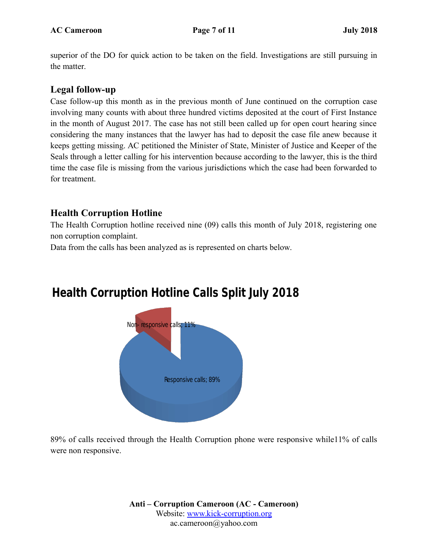superior of the DO for quick action to be taken on the field. Investigations are still pursuing in the matter.

### **Legal follow-up**

Case follow-up this month as in the previous month of June continued on the corruption case involving many counts with about three hundred victims deposited at the court of First Instance in the month of August 2017. The case has not still been called up for open court hearing since considering the many instances that the lawyer has had to deposit the case file anew because it keeps getting missing. AC petitioned the Minister of State, Minister of Justice and Keeper of the Seals through a letter calling for his intervention because according to the lawyer, this is the third time the case file is missing from the various jurisdictions which the case had been forwarded to for treatment.

### **Health Corruption Hotline**

The Health Corruption hotline received nine (09) calls this month of July 2018, registering one non corruption complaint.

Data from the calls has been analyzed as is represented on charts below.

## **Health Corruption Hotline Calls Split July 2018**



89% of calls received through the Health Corruption phone were responsive while11% of calls were non responsive.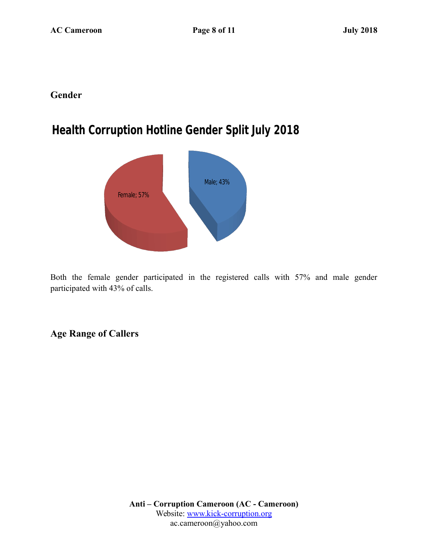### **Gender**

## **Health Corruption Hotline Gender Split July 2018**



Both the female gender participated in the registered calls with 57% and male gender participated with 43% of calls.

**Age Range of Callers**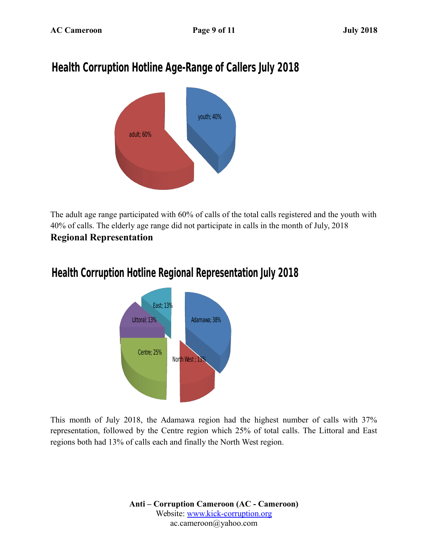## **Health Corruption Hotline Age-Range of Callers July 2018**



The adult age range participated with 60% of calls of the total calls registered and the youth with 40% of calls. The elderly age range did not participate in calls in the month of July, 2018 **Regional Representation** 

### **Health Corruption Hotline Regional Representation July 2018**



This month of July 2018, the Adamawa region had the highest number of calls with 37% representation, followed by the Centre region which 25% of total calls. The Littoral and East regions both had 13% of calls each and finally the North West region.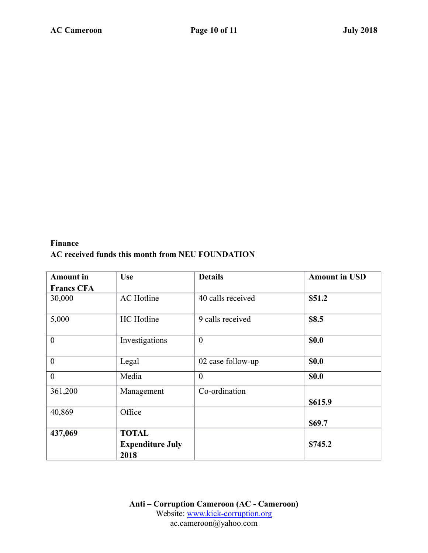### **Finance AC received funds this month from NEU FOUNDATION**

| <b>Amount</b> in  | <b>Use</b>                                      | <b>Details</b>    | <b>Amount in USD</b> |
|-------------------|-------------------------------------------------|-------------------|----------------------|
| <b>Francs CFA</b> |                                                 |                   |                      |
| 30,000            | <b>AC</b> Hotline                               | 40 calls received | \$51.2               |
| 5,000             | HC Hotline                                      | 9 calls received  | \$8.5                |
| $\boldsymbol{0}$  | Investigations                                  | $\theta$          | <b>\$0.0</b>         |
| $\boldsymbol{0}$  | Legal                                           | 02 case follow-up | \$0.0                |
| $\mathbf{0}$      | Media                                           | $\theta$          | <b>\$0.0</b>         |
| 361,200           | Management                                      | Co-ordination     | \$615.9              |
| 40,869            | Office                                          |                   | \$69.7               |
| 437,069           | <b>TOTAL</b><br><b>Expenditure July</b><br>2018 |                   | \$745.2              |